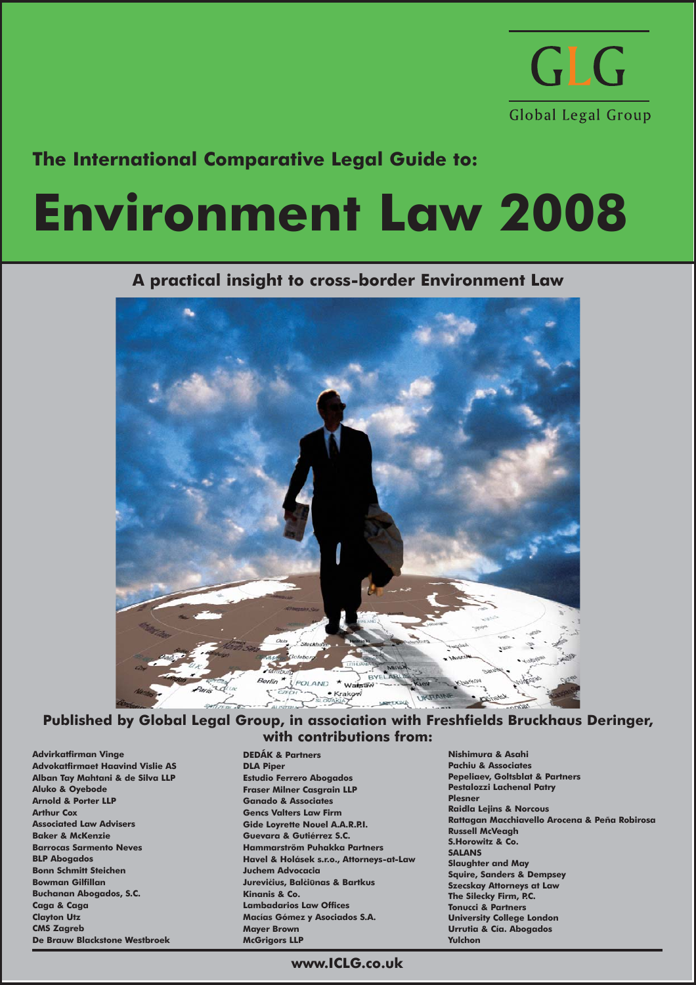

## **The International Comparative Legal Guide to:**

# **Environment Law 2008**

**A practical insight to cross-border Environment Law**



#### **Published by Global Legal Group, in association with Freshfields Bruckhaus Deringer, with contributions from:**

**Advirkatfirman Vinge Advokatfirmaet Haavind Vislie AS Alban Tay Mahtani & de Silva LLP Aluko & Oyebode Arnold & Porter LLP Arthur Cox Associated Law Advisers Baker & McKenzie Barrocas Sarmento Neves BLP Abogados Bonn Schmitt Steichen Bowman Gilfillan Buchanan Abogados, S.C. Caga & Caga Clayton Utz CMS Zagreb De Brauw Blackstone Westbroek**

**DEDÁK & Partners DLA Piper Estudio Ferrero Abogados Fraser Milner Casgrain LLP Ganado & Associates Gencs Valters Law Firm Gide Loyrette Nouel A.A.R.P.I. Guevara & Gutiérrez S.C. Hammarström Puhakka Partners Havel & Holásek s.r.o., Attorneys-at-Law Juchem Advocacia** Jurevičius, Balčiūnas & Bartkus **Kinanis & Co. Lambadarios Law Offices Macías Gómez y Asociados S.A. Mayer Brown McGrigors LLP**

**Nishimura & Asahi Pachiu & Associates Pepeliaev, Goltsblat & Partners Pestalozzi Lachenal Patry Plesner Raidla Lejins & Norcous Rattagan Macchiavello Arocena & Peña Robirosa Russell McVeagh S.Horowitz & Co. SALANS Slaughter and May Squire, Sanders & Dempsey Szecskay Attorneys at Law The Silecky Firm, P.C. Tonucci & Partners University College London Urrutia & Cía. Abogados Yulchon** 

**www.ICLG.co.uk**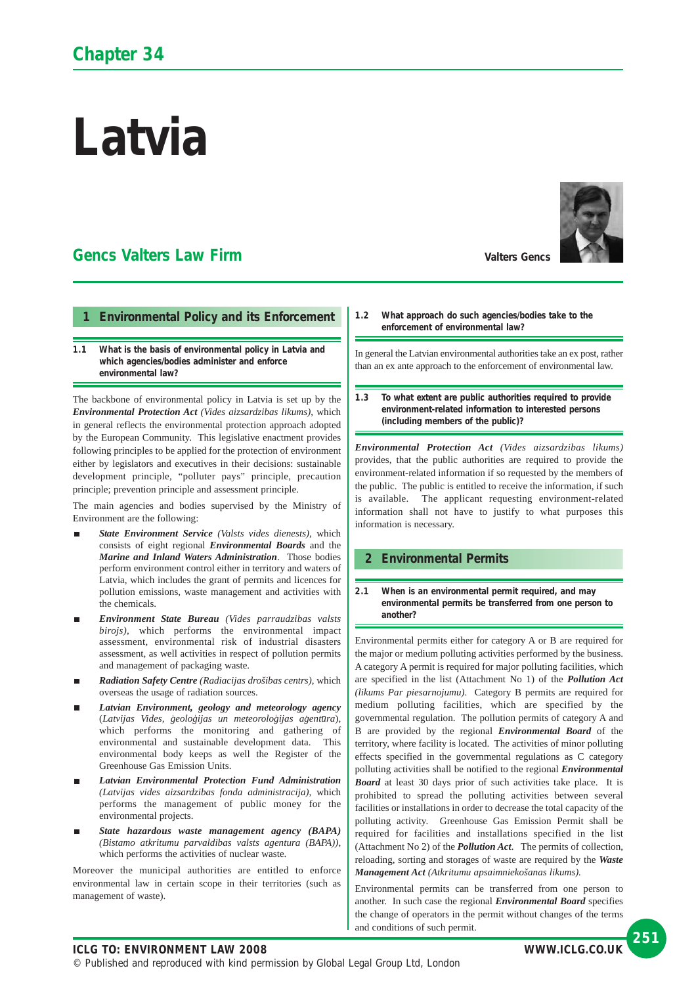## **Latvia**

### **Gencs Valters Law Firm**

#### **1 Environmental Policy and its Enforcement**

**1.1 What is the basis of environmental policy in Latvia and which agencies/bodies administer and enforce environmental law?**

The backbone of environmental policy in Latvia is set up by the *Environmental Protection Act (Vides aizsardzibas likums)*, which in general reflects the environmental protection approach adopted by the European Community. This legislative enactment provides following principles to be applied for the protection of environment either by legislators and executives in their decisions: sustainable development principle, "polluter pays" principle, precaution principle; prevention principle and assessment principle.

The main agencies and bodies supervised by the Ministry of Environment are the following:

- *State Environment Service (Valsts vides dienests)*, which consists of eight regional *Environmental Boards* and the *Marine and Inland Waters Administration*. Those bodies perform environment control either in territory and waters of Latvia, which includes the grant of permits and licences for pollution emissions, waste management and activities with the chemicals.
- *Environment State Bureau (Vides parraudzibas valsts birojs)*, which performs the environmental impact assessment, environmental risk of industrial disasters assessment, as well activities in respect of pollution permits and management of packaging waste.
- *Radiation Safety Centre (Radiacijas drošibas centrs)*, which overseas the usage of radiation sources.
- *Latvian Environment, geology and meteorology agency* (Latvijas Vides, *geologijas un meteorologijas agentūra*), which performs the monitoring and gathering of environmental and sustainable development data. This environmental body keeps as well the Register of the Greenhouse Gas Emission Units.
- *Latvian Environmental Protection Fund Administration (Latvijas vides aizsardzibas fonda administracija)*, which performs the management of public money for the environmental projects.
- *State hazardous waste management agency (BAPA) (Bistamo atkritumu parvaldibas valsts agentura (BAPA)),* which performs the activities of nuclear waste.

Moreover the municipal authorities are entitled to enforce environmental law in certain scope in their territories (such as management of waste).



**1.2 What approach do such agencies/bodies take to the enforcement of environmental law?**

In general the Latvian environmental authorities take an ex post, rather than an ex ante approach to the enforcement of environmental law.

**1.3 To what extent are public authorities required to provide environment-related information to interested persons (including members of the public)?**

*Environmental Protection Act (Vides aizsardzibas likums)* provides, that the public authorities are required to provide the environment-related information if so requested by the members of the public. The public is entitled to receive the information, if such is available. The applicant requesting environment-related information shall not have to justify to what purposes this information is necessary.

#### **2 Environmental Permits**

**2.1 When is an environmental permit required, and may environmental permits be transferred from one person to another?**

Environmental permits either for category A or B are required for the major or medium polluting activities performed by the business. A category A permit is required for major polluting facilities, which are specified in the list (Attachment No 1) of the *Pollution Act (likums Par piesarnojumu)*. Category B permits are required for medium polluting facilities, which are specified by the governmental regulation. The pollution permits of category A and B are provided by the regional *Environmental Board* of the territory, where facility is located. The activities of minor polluting effects specified in the governmental regulations as C category polluting activities shall be notified to the regional *Environmental Board* at least 30 days prior of such activities take place. It is prohibited to spread the polluting activities between several facilities or installations in order to decrease the total capacity of the polluting activity. Greenhouse Gas Emission Permit shall be required for facilities and installations specified in the list (Attachment No 2) of the *Pollution Act*. The permits of collection, reloading, sorting and storages of waste are required by the *Waste Management Act (Atkritumu apsaimniekošanas likums).*

Environmental permits can be transferred from one person to another. In such case the regional *Environmental Board* specifies the change of operators in the permit without changes of the terms and conditions of such permit.

#### **ICLG TO: ENVIRONMENT LAW 2008 WWW.ICLG.CO.UK**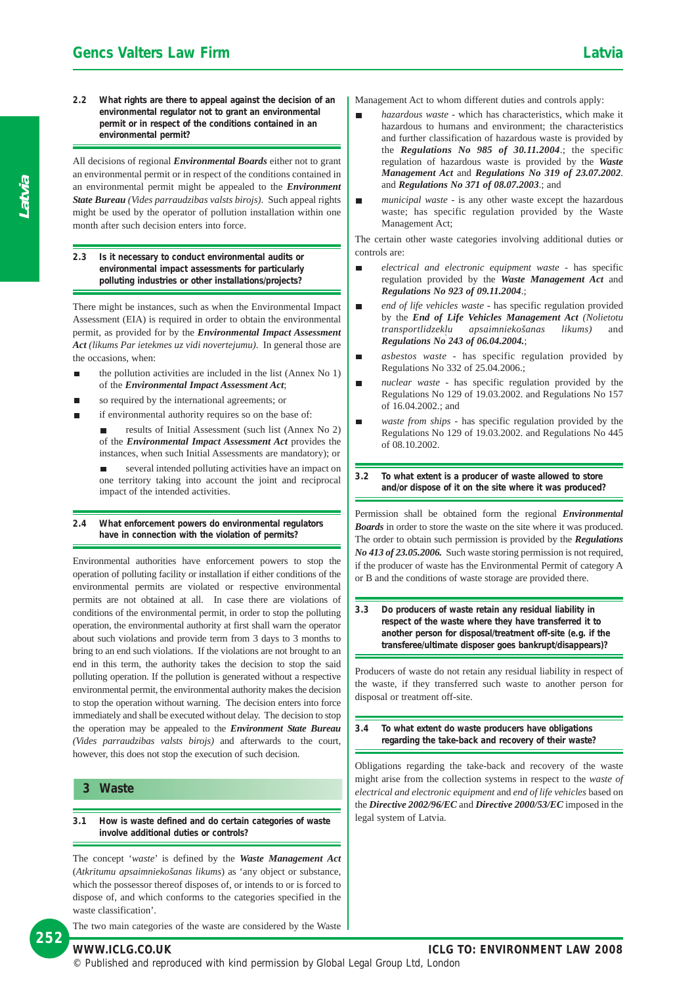**2.2 What rights are there to appeal against the decision of an environmental regulator not to grant an environmental permit or in respect of the conditions contained in an environmental permit?**

All decisions of regional *Environmental Boards* either not to grant an environmental permit or in respect of the conditions contained in an environmental permit might be appealed to the *Environment State Bureau (Vides parraudzibas valsts birojs)*. Such appeal rights might be used by the operator of pollution installation within one month after such decision enters into force.

#### **2.3 Is it necessary to conduct environmental audits or environmental impact assessments for particularly polluting industries or other installations/projects?**

There might be instances, such as when the Environmental Impact Assessment (EIA) is required in order to obtain the environmental permit, as provided for by the *Environmental Impact Assessment Act (likums Par ietekmes uz vidi novertejumu)*. In general those are the occasions, when:

- the pollution activities are included in the list (Annex No 1) of the *Environmental Impact Assessment Act*;
- so required by the international agreements; or
- if environmental authority requires so on the base of:
	- results of Initial Assessment (such list (Annex No 2) of the *Environmental Impact Assessment Act* provides the instances, when such Initial Assessments are mandatory); or

several intended polluting activities have an impact on one territory taking into account the joint and reciprocal impact of the intended activities.

#### **2.4 What enforcement powers do environmental regulators have in connection with the violation of permits?**

Environmental authorities have enforcement powers to stop the operation of polluting facility or installation if either conditions of the environmental permits are violated or respective environmental permits are not obtained at all. In case there are violations of conditions of the environmental permit, in order to stop the polluting operation, the environmental authority at first shall warn the operator about such violations and provide term from 3 days to 3 months to bring to an end such violations. If the violations are not brought to an end in this term, the authority takes the decision to stop the said polluting operation. If the pollution is generated without a respective environmental permit, the environmental authority makes the decision to stop the operation without warning. The decision enters into force immediately and shall be executed without delay. The decision to stop the operation may be appealed to the *Environment State Bureau (Vides parraudzibas valsts birojs)* and afterwards to the court, however, this does not stop the execution of such decision.

#### **3 Waste**

**3.1 How is waste defined and do certain categories of waste involve additional duties or controls?**

The concept '*waste*' is defined by the *Waste Management Act* (*Atkritumu apsaimniekošanas likums*) as 'any object or substance, which the possessor thereof disposes of, or intends to or is forced to dispose of, and which conforms to the categories specified in the waste classification'.

The two main categories of the waste are considered by the Waste

Management Act to whom different duties and controls apply:

- *hazardous waste* which has characteristics, which make it hazardous to humans and environment; the characteristics and further classification of hazardous waste is provided by the *Regulations No 985 of 30.11.2004*.; the specific regulation of hazardous waste is provided by the *Waste Management Act* and *Regulations No 319 of 23.07.2002*. and *Regulations No 371 of 08.07.2003*.; and
- *municipal waste* is any other waste except the hazardous waste; has specific regulation provided by the Waste Management Act;

The certain other waste categories involving additional duties or controls are:

- *electrical and electronic equipment waste* has specific ÷ regulation provided by the *Waste Management Act* and *Regulations No 923 of 09.11.2004*.;
- *end of life vehicles waste* has specific regulation provided п by the *End of Life Vehicles Management Act (Nolietotu transportlidzeklu apsaimniekošanas likums)* and *Regulations No 243 of 06.04.2004.*; '
- *asbestos waste* has specific regulation provided by п Regulations No 332 of 25.04.2006.;
- *nuclear waste* has specific regulation provided by the  $\blacksquare$ Regulations No 129 of 19.03.2002. and Regulations No 157 of 16.04.2002.; and
- *waste from ships* has specific regulation provided by the Regulations No 129 of 19.03.2002. and Regulations No 445 of 08.10.2002.

#### **3.2 To what extent is a producer of waste allowed to store and/or dispose of it on the site where it was produced?**

Permission shall be obtained form the regional *Environmental Boards* in order to store the waste on the site where it was produced. The order to obtain such permission is provided by the *Regulations No 413 of 23.05.2006.* Such waste storing permission is not required, if the producer of waste has the Environmental Permit of category A or B and the conditions of waste storage are provided there.

**3.3 Do producers of waste retain any residual liability in respect of the waste where they have transferred it to another person for disposal/treatment off-site (e.g. if the transferee/ultimate disposer goes bankrupt/disappears)?**

Producers of waste do not retain any residual liability in respect of the waste, if they transferred such waste to another person for disposal or treatment off-site.

**3.4 To what extent do waste producers have obligations regarding the take-back and recovery of their waste?**

Obligations regarding the take-back and recovery of the waste might arise from the collection systems in respect to the *waste of electrical and electronic equipment* and *end of life vehicles* based on the *Directive 2002/96/EC* and *Directive 2000/53/EC* imposed in the legal system of Latvia.

**252**

© Published and reproduced with kind permission by Global Legal Group Ltd, London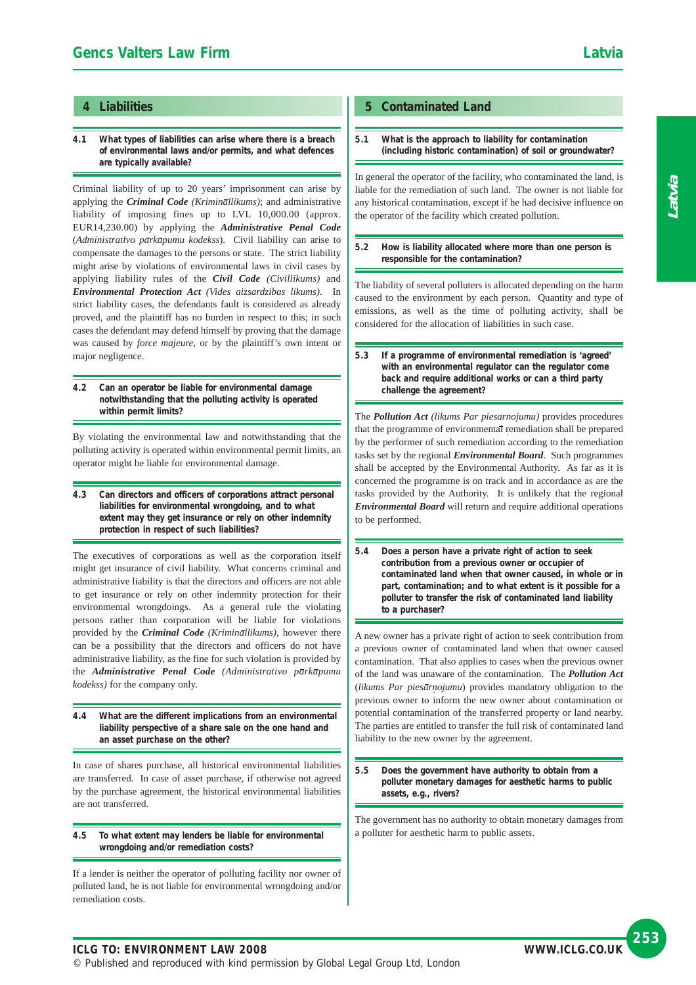#### **4 Liabilities**

**4.1 What types of liabilities can arise where there is a breach of environmental laws and/or permits, and what defences are typically available?**

Criminal liability of up to 20 years' imprisonment can arise by applying the *Criminal Code (Kriminallikums)*; and administrative liability of imposing fines up to LVL 10,000.00 (approx. EUR14,230.00) by applying the *Administrative Penal Code* (*Administrativo parkapumu kodekss*). Civil liability can arise to compensate the damages to the persons or state. The strict liability might arise by violations of environmental laws in civil cases by applying liability rules of the *Civil Code (Civillikums)* and *Environmental Protection Act (Vides aizsardzibas likums)*. In strict liability cases, the defendants fault is considered as already proved, and the plaintiff has no burden in respect to this; in such cases the defendant may defend himself by proving that the damage was caused by *force majeure*, or by the plaintiff's own intent or major negligence.

#### **4.2 Can an operator be liable for environmental damage notwithstanding that the polluting activity is operated within permit limits?**

By violating the environmental law and notwithstanding that the polluting activity is operated within environmental permit limits, an operator might be liable for environmental damage.

**4.3 Can directors and officers of corporations attract personal liabilities for environmental wrongdoing, and to what extent may they get insurance or rely on other indemnity protection in respect of such liabilities?**

The executives of corporations as well as the corporation itself might get insurance of civil liability. What concerns criminal and administrative liability is that the directors and officers are not able to get insurance or rely on other indemnity protection for their environmental wrongdoings. As a general rule the violating persons rather than corporation will be liable for violations provided by the *Criminal Code (Kriminallikums)*, however there can be a possibility that the directors and officers do not have administrative liability, as the fine for such violation is provided by the *Administrative Penal Code (Administrativo parkapumu kodekss)* for the company only.

**4.4 What are the different implications from an environmental liability perspective of a share sale on the one hand and an asset purchase on the other?**

In case of shares purchase, all historical environmental liabilities are transferred. In case of asset purchase, if otherwise not agreed by the purchase agreement, the historical environmental liabilities are not transferred.

**4.5 To what extent may lenders be liable for environmental wrongdoing and/or remediation costs?**

If a lender is neither the operator of polluting facility nor owner of polluted land, he is not liable for environmental wrongdoing and/or remediation costs.

### **5 Contaminated Land**

#### **5.1 What is the approach to liability for contamination (including historic contamination) of soil or groundwater?**

In general the operator of the facility, who contaminated the land, is liable for the remediation of such land. The owner is not liable for any historical contamination, except if he had decisive influence on the operator of the facility which created pollution.

**5.2 How is liability allocated where more than one person is responsible for the contamination?**

The liability of several polluters is allocated depending on the harm caused to the environment by each person. Quantity and type of emissions, as well as the time of polluting activity, shall be considered for the allocation of liabilities in such case.

**5.3 If a programme of environmental remediation is 'agreed' with an environmental regulator can the regulator come back and require additional works or can a third party challenge the agreement?**

The *Pollution Act (likums Par piesarnojumu)* provides procedures that the programme of environmental remediation shall be prepared by the performer of such remediation according to the remediation tasks set by the regional *Environmental Board*. Such programmes shall be accepted by the Environmental Authority. As far as it is concerned the programme is on track and in accordance as are the tasks provided by the Authority. It is unlikely that the regional *Environmental Board* will return and require additional operations to be performed.

**5.4 Does a person have a private right of action to seek contribution from a previous owner or occupier of contaminated land when that owner caused, in whole or in part, contamination; and to what extent is it possible for a polluter to transfer the risk of contaminated land liability to a purchaser?**

A new owner has a private right of action to seek contribution from a previous owner of contaminated land when that owner caused contamination. That also applies to cases when the previous owner of the land was unaware of the contamination. The *Pollution Act* (*likums Par piesarnojumu*) provides mandatory obligation to the previous owner to inform the new owner about contamination or potential contamination of the transferred property or land nearby. The parties are entitled to transfer the full risk of contaminated land liability to the new owner by the agreement.

**5.5 Does the government have authority to obtain from a polluter monetary damages for aesthetic harms to public assets, e.g., rivers?**

The government has no authority to obtain monetary damages from a polluter for aesthetic harm to public assets.

**253**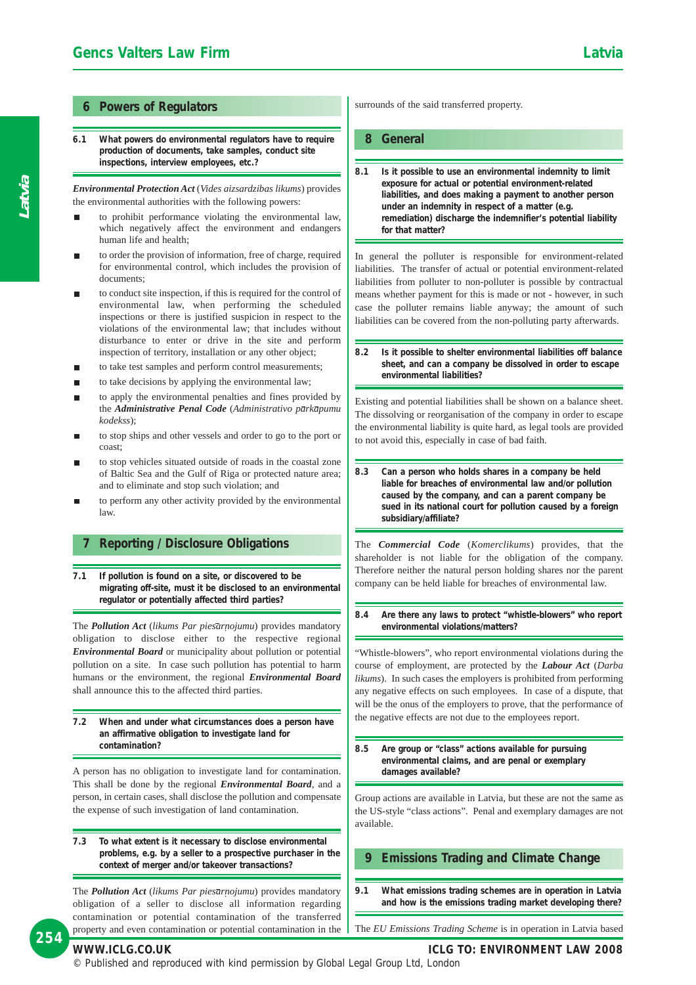#### **6 Powers of Regulators**

**Latvia**

**6.1 What powers do environmental regulators have to require production of documents, take samples, conduct site inspections, interview employees, etc.?**

*Environmental Protection Act* (*Vides aizsardzibas likums*) provides the environmental authorities with the following powers:

- to prohibit performance violating the environmental law, which negatively affect the environment and endangers human life and health;
- to order the provision of information, free of charge, required for environmental control, which includes the provision of documents;
- to conduct site inspection, if this is required for the control of environmental law, when performing the scheduled inspections or there is justified suspicion in respect to the violations of the environmental law; that includes without disturbance to enter or drive in the site and perform inspection of territory, installation or any other object;
- to take test samples and perform control measurements;
- to take decisions by applying the environmental law;
- to apply the environmental penalties and fines provided by the *Administrative Penal Code* (*Administrativo parkapumu kodekss*);
- to stop ships and other vessels and order to go to the port or coast;
- to stop vehicles situated outside of roads in the coastal zone of Baltic Sea and the Gulf of Riga or protected nature area; and to eliminate and stop such violation; and
- to perform any other activity provided by the environmental law.

#### **7 Reporting / Disclosure Obligations**

**7.1 If pollution is found on a site, or discovered to be migrating off-site, must it be disclosed to an environmental regulator or potentially affected third parties?**

The *Pollution Act* (*likums Par piesarnojumu*) provides mandatory obligation to disclose either to the respective regional *Environmental Board* or municipality about pollution or potential pollution on a site. In case such pollution has potential to harm humans or the environment, the regional *Environmental Board* shall announce this to the affected third parties.

**7.2 When and under what circumstances does a person have an affirmative obligation to investigate land for contamination?**

A person has no obligation to investigate land for contamination. This shall be done by the regional *Environmental Board*, and a person, in certain cases, shall disclose the pollution and compensate the expense of such investigation of land contamination.

**7.3 To what extent is it necessary to disclose environmental problems, e.g. by a seller to a prospective purchaser in the context of merger and/or takeover transactions?**

The *Pollution Act* (*likums Par piesarnojumu*) provides mandatory  $obligation$  of a seller to disclose all information regarding contamination or potential contamination of the transferred property and even contamination or potential contamination in the surrounds of the said transferred property.

#### **8 General**

**8.1 Is it possible to use an environmental indemnity to limit exposure for actual or potential environment-related liabilities, and does making a payment to another person under an indemnity in respect of a matter (e.g. remediation) discharge the indemnifier's potential liability for that matter?**

In general the polluter is responsible for environment-related liabilities. The transfer of actual or potential environment-related liabilities from polluter to non-polluter is possible by contractual means whether payment for this is made or not - however, in such case the polluter remains liable anyway; the amount of such liabilities can be covered from the non-polluting party afterwards.

**8.2 Is it possible to shelter environmental liabilities off balance sheet, and can a company be dissolved in order to escape environmental liabilities?**

Existing and potential liabilities shall be shown on a balance sheet. The dissolving or reorganisation of the company in order to escape the environmental liability is quite hard, as legal tools are provided to not avoid this, especially in case of bad faith.

**8.3 Can a person who holds shares in a company be held liable for breaches of environmental law and/or pollution caused by the company, and can a parent company be sued in its national court for pollution caused by a foreign subsidiary/affiliate?**

The *Commercial Code* (*Komerclikums*) provides, that the shareholder is not liable for the obligation of the company. Therefore neither the natural person holding shares nor the parent company can be held liable for breaches of environmental law.

**8.4 Are there any laws to protect "whistle-blowers" who report environmental violations/matters?**

"Whistle-blowers", who report environmental violations during the course of employment, are protected by the *Labour Act* (*Darba likums*). In such cases the employers is prohibited from performing any negative effects on such employees. In case of a dispute, that will be the onus of the employers to prove, that the performance of the negative effects are not due to the employees report.

**8.5 Are group or "class" actions available for pursuing environmental claims, and are penal or exemplary damages available?**

Group actions are available in Latvia, but these are not the same as the US-style "class actions". Penal and exemplary damages are not available.

#### **9 Emissions Trading and Climate Change**

**9.1 What emissions trading schemes are in operation in Latvia and how is the emissions trading market developing there?**

The *EU Emissions Trading Scheme* is in operation in Latvia based

**WWW.ICLG.CO.UK ICLG TO: ENVIRONMENT LAW 2008**

© Published and reproduced with kind permission by Global Legal Group Ltd, London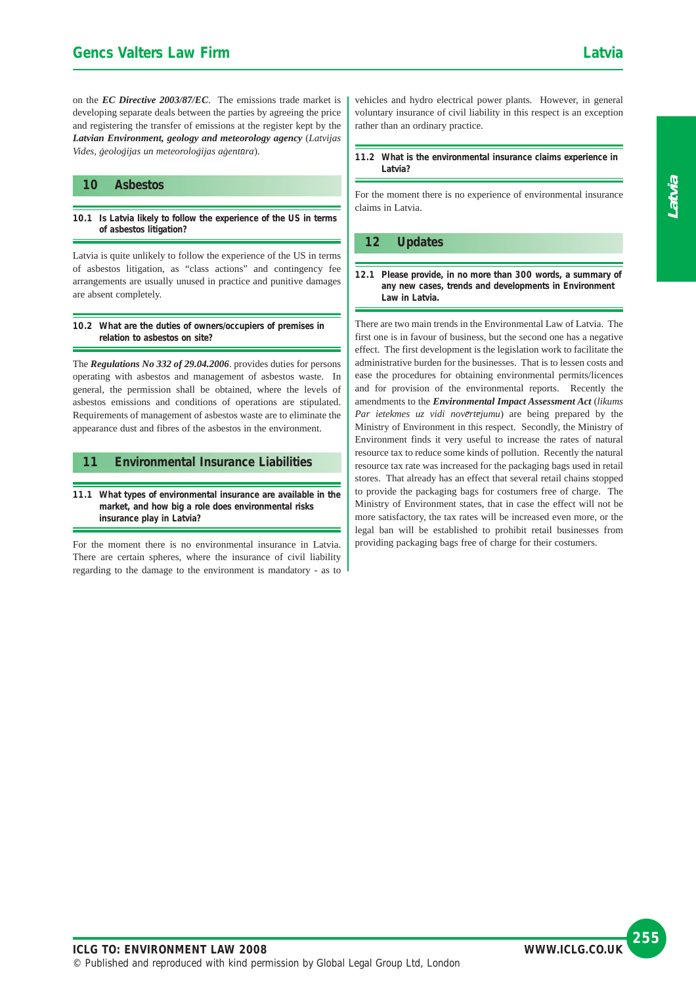on the *EC Directive 2003/87/EC*. The emissions trade market is developing separate deals between the parties by agreeing the price and registering the transfer of emissions at the register kept by the *Latvian Environment, geology and meteorology agency* (*Latvijas* Vides, *ģeoloģijas un meteoroloģijas aģentūra*).

#### **10 Asbestos**

**10.1 Is Latvia likely to follow the experience of the US in terms of asbestos litigation?** 

Latvia is quite unlikely to follow the experience of the US in terms of asbestos litigation, as "class actions" and contingency fee arrangements are usually unused in practice and punitive damages are absent completely.

**10.2 What are the duties of owners/occupiers of premises in relation to asbestos on site?** 

The *Regulations No 332 of 29.04.2006*. provides duties for persons operating with asbestos and management of asbestos waste. In general, the permission shall be obtained, where the levels of asbestos emissions and conditions of operations are stipulated. Requirements of management of asbestos waste are to eliminate the appearance dust and fibres of the asbestos in the environment.

#### **11 Environmental Insurance Liabilities**

**11.1 What types of environmental insurance are available in the market, and how big a role does environmental risks insurance play in Latvia?**

For the moment there is no environmental insurance in Latvia. There are certain spheres, where the insurance of civil liability regarding to the damage to the environment is mandatory - as to

vehicles and hydro electrical power plants. However, in general voluntary insurance of civil liability in this respect is an exception rather than an ordinary practice.

**11.2 What is the environmental insurance claims experience in Latvia?**

For the moment there is no experience of environmental insurance claims in Latvia.

#### **12 Updates**

**12.1 Please provide, in no more than 300 words, a summary of any new cases, trends and developments in Environment Law in Latvia.**

There are two main trends in the Environmental Law of Latvia. The first one is in favour of business, but the second one has a negative effect. The first development is the legislation work to facilitate the administrative burden for the businesses. That is to lessen costs and ease the procedures for obtaining environmental permits/licences and for provision of the environmental reports. Recently the amendments to the *Environmental Impact Assessment Act* (*likums Par ietekmes uz vidi novertejumu*) are being prepared by the Ministry of Environment in this respect. Secondly, the Ministry of Environment finds it very useful to increase the rates of natural resource tax to reduce some kinds of pollution. Recently the natural resource tax rate was increased for the packaging bags used in retail stores. That already has an effect that several retail chains stopped to provide the packaging bags for costumers free of charge. The Ministry of Environment states, that in case the effect will not be more satisfactory, the tax rates will be increased even more, or the legal ban will be established to prohibit retail businesses from providing packaging bags free of charge for their costumers.

**255**